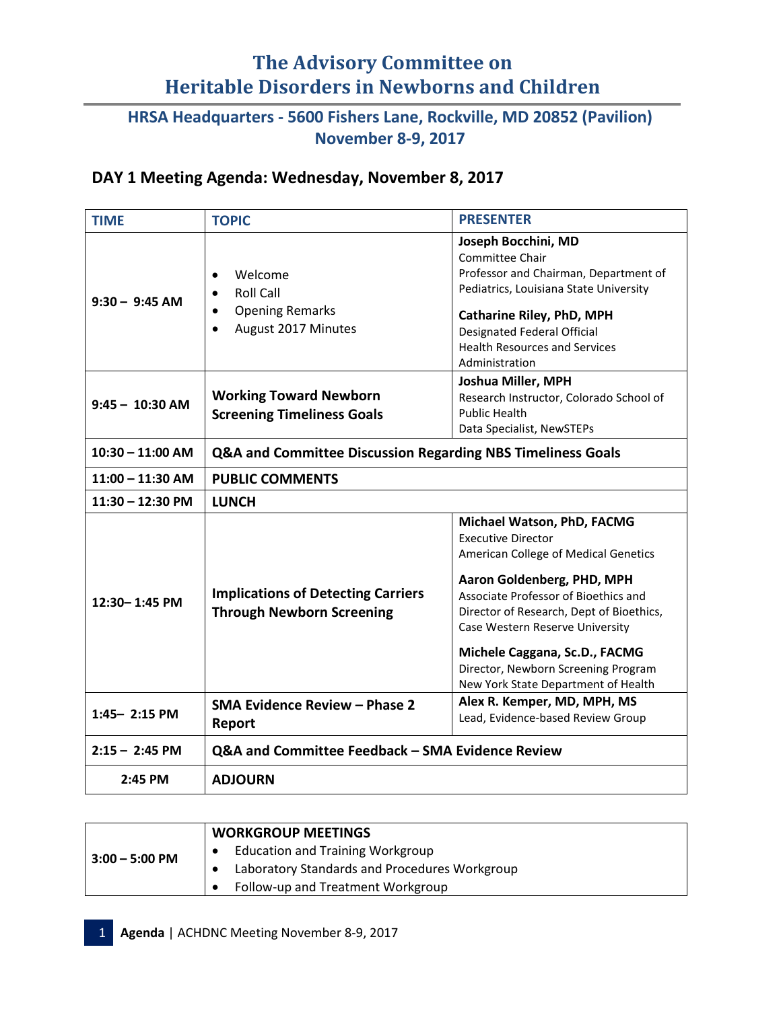# **The Advisory Committee on Heritable Disorders in Newborns and Children**

### **HRSA Headquarters - 5600 Fishers Lane, Rockville, MD 20852 (Pavilion) November 8-9, 2017**

#### **DAY 1 Meeting Agenda: Wednesday, November 8, 2017**

| <b>TIME</b>        | <b>TOPIC</b>                                                                                                        | <b>PRESENTER</b>                                                                                                                                                                                                                                                                                                                                                    |  |
|--------------------|---------------------------------------------------------------------------------------------------------------------|---------------------------------------------------------------------------------------------------------------------------------------------------------------------------------------------------------------------------------------------------------------------------------------------------------------------------------------------------------------------|--|
| $9:30 - 9:45$ AM   | Welcome<br>$\bullet$<br><b>Roll Call</b><br><b>Opening Remarks</b><br>$\bullet$<br>August 2017 Minutes<br>$\bullet$ | Joseph Bocchini, MD<br>Committee Chair<br>Professor and Chairman, Department of<br>Pediatrics, Louisiana State University<br><b>Catharine Riley, PhD, MPH</b><br>Designated Federal Official<br><b>Health Resources and Services</b><br>Administration                                                                                                              |  |
| $9:45 - 10:30$ AM  | <b>Working Toward Newborn</b><br><b>Screening Timeliness Goals</b>                                                  | Joshua Miller, MPH<br>Research Instructor, Colorado School of<br><b>Public Health</b><br>Data Specialist, NewSTEPs                                                                                                                                                                                                                                                  |  |
| $10:30 - 11:00$ AM | <b>Q&amp;A and Committee Discussion Regarding NBS Timeliness Goals</b>                                              |                                                                                                                                                                                                                                                                                                                                                                     |  |
| $11:00 - 11:30$ AM | <b>PUBLIC COMMENTS</b>                                                                                              |                                                                                                                                                                                                                                                                                                                                                                     |  |
| $11:30 - 12:30$ PM | <b>LUNCH</b>                                                                                                        |                                                                                                                                                                                                                                                                                                                                                                     |  |
| 12:30-1:45 PM      | <b>Implications of Detecting Carriers</b><br><b>Through Newborn Screening</b>                                       | Michael Watson, PhD, FACMG<br><b>Executive Director</b><br>American College of Medical Genetics<br>Aaron Goldenberg, PHD, MPH<br>Associate Professor of Bioethics and<br>Director of Research, Dept of Bioethics,<br>Case Western Reserve University<br>Michele Caggana, Sc.D., FACMG<br>Director, Newborn Screening Program<br>New York State Department of Health |  |
| $1:45 - 2:15$ PM   | <b>SMA Evidence Review - Phase 2</b><br>Report                                                                      | Alex R. Kemper, MD, MPH, MS<br>Lead, Evidence-based Review Group                                                                                                                                                                                                                                                                                                    |  |
| $2:15 - 2:45$ PM   | Q&A and Committee Feedback - SMA Evidence Review                                                                    |                                                                                                                                                                                                                                                                                                                                                                     |  |
| 2:45 PM            | <b>ADJOURN</b>                                                                                                      |                                                                                                                                                                                                                                                                                                                                                                     |  |

| $3:00 - 5:00$ PM | <b>WORKGROUP MEETINGS</b>                     |
|------------------|-----------------------------------------------|
|                  | <b>Education and Training Workgroup</b>       |
|                  | Laboratory Standards and Procedures Workgroup |
|                  | Follow-up and Treatment Workgroup             |